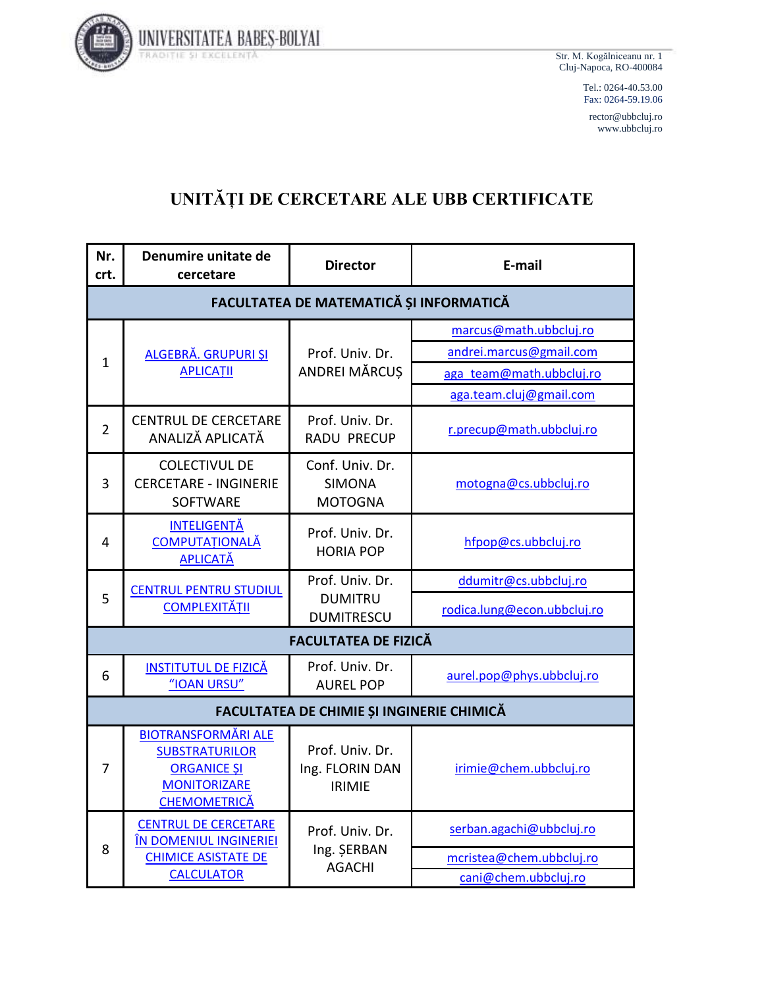

Str. M. Kogălniceanu nr. 1 Cluj-Napoca, RO-400084

> Tel.: 0264-40.53.00 Fax: 0264-59.19.06

rector@ubbcluj.ro www.ubbcluj.ro

## **UNITĂȚI DE CERCETARE ALE UBB CERTIFICATE**

| Nr.<br>crt.    | Denumire unitate de<br>cercetare                                                                                        | <b>Director</b>                                        | E-mail                      |  |
|----------------|-------------------------------------------------------------------------------------------------------------------------|--------------------------------------------------------|-----------------------------|--|
|                | FACULTATEA DE MATEMATICĂ ȘI INFORMATICĂ                                                                                 |                                                        |                             |  |
| 1              | ALGEBRĂ. GRUPURI ȘI                                                                                                     | Prof. Univ. Dr.<br><b>ANDREI MĂRCUS</b>                | marcus@math.ubbcluj.ro      |  |
|                |                                                                                                                         |                                                        | andrei.marcus@gmail.com     |  |
|                | <b>APLICAȚII</b>                                                                                                        |                                                        | aga team@math.ubbcluj.ro    |  |
|                |                                                                                                                         |                                                        | aga.team.cluj@gmail.com     |  |
| $\overline{2}$ | <b>CENTRUL DE CERCETARE</b><br>ANALIZĂ APLICATĂ                                                                         | Prof. Univ. Dr.<br><b>RADU PRECUP</b>                  | r.precup@math.ubbcluj.ro    |  |
| 3              | <b>COLECTIVUL DE</b><br><b>CERCETARE - INGINERIE</b><br><b>SOFTWARE</b>                                                 | Conf. Univ. Dr.<br><b>SIMONA</b><br><b>MOTOGNA</b>     | motogna@cs.ubbcluj.ro       |  |
| 4              | <b>INTELIGENȚĂ</b><br><b>COMPUTAȚIONALĂ</b><br><b>APLICATĂ</b>                                                          | Prof. Univ. Dr.<br><b>HORIA POP</b>                    | hfpop@cs.ubbcluj.ro         |  |
|                | <b>CENTRUL PENTRU STUDIUL</b><br><b>COMPLEXITĂȚII</b>                                                                   | Prof. Univ. Dr.<br><b>DUMITRU</b><br><b>DUMITRESCU</b> | ddumitr@cs.ubbcluj.ro       |  |
| 5              |                                                                                                                         |                                                        | rodica.lung@econ.ubbcluj.ro |  |
|                |                                                                                                                         | <b>FACULTATEA DE FIZICĂ</b>                            |                             |  |
| 6              | <b>INSTITUTUL DE FIZICĂ</b><br>"IOAN URSU"                                                                              | Prof. Univ. Dr.<br><b>AUREL POP</b>                    | aurel.pop@phys.ubbcluj.ro   |  |
|                | FACULTATEA DE CHIMIE ȘI INGINERIE CHIMICĂ                                                                               |                                                        |                             |  |
| 7              | <b>BIOTRANSFORMĂRI ALE</b><br><b>SUBSTRATURILOR</b><br><b>ORGANICE ȘI</b><br><b>MONITORIZARE</b><br><b>CHEMOMETRICĂ</b> | Prof. Univ. Dr.<br>Ing. FLORIN DAN<br><b>IRIMIE</b>    | irimie@chem.ubbcluj.ro      |  |
| 8              | <b>CENTRUL DE CERCETARE</b><br>ÎN DOMENIUL INGINERIEI<br><b>CHIMICE ASISTATE DE</b><br><b>CALCULATOR</b>                | Prof. Univ. Dr.<br>Ing. ŞERBAN<br><b>AGACHI</b>        | serban.agachi@ubbcluj.ro    |  |
|                |                                                                                                                         |                                                        | mcristea@chem.ubbcluj.ro    |  |
|                |                                                                                                                         |                                                        | cani@chem.ubbcluj.ro        |  |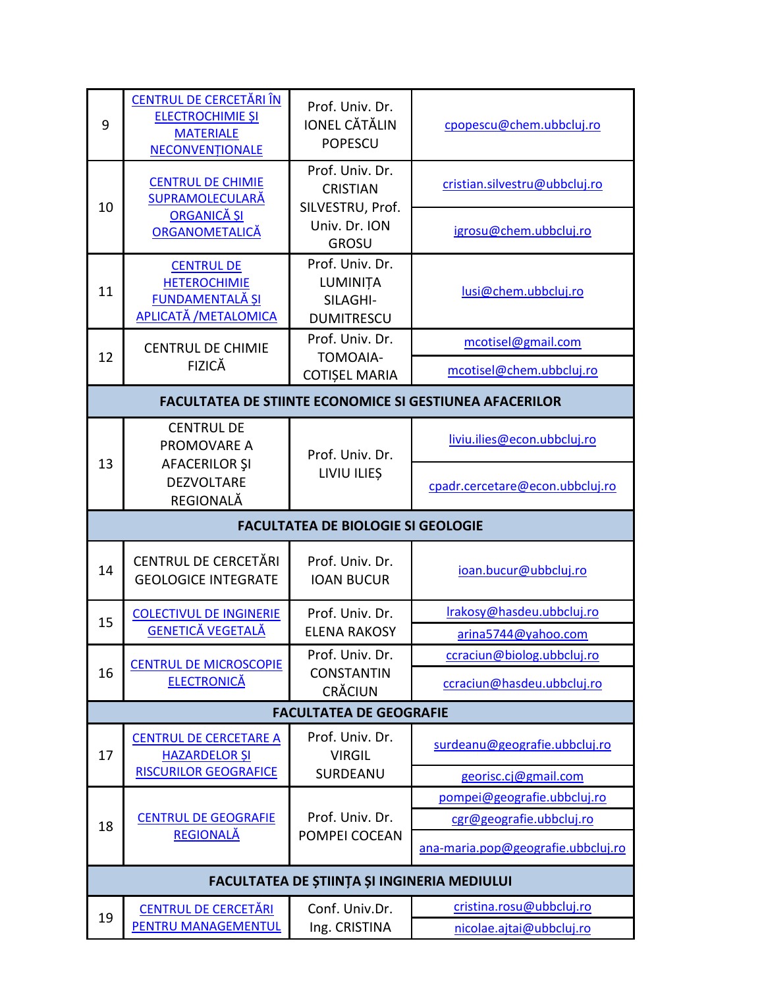| 9  | CENTRUL DE CERCETĂRI ÎN<br><b>ELECTROCHIMIE ȘI</b><br><b>MATERIALE</b><br>NECONVENTIONALE  | Prof. Univ. Dr.<br><b>JONEL CĂTĂLIN</b><br><b>POPESCU</b>    | cpopescu@chem.ubbcluj.ro                                       |
|----|--------------------------------------------------------------------------------------------|--------------------------------------------------------------|----------------------------------------------------------------|
| 10 | <b>CENTRUL DE CHIMIE</b><br><b>SUPRAMOLECULARĂ</b><br><b>ORGANICĂ ȘI</b><br>ORGANOMETALICĂ | Prof. Univ. Dr.<br><b>CRISTIAN</b><br>SILVESTRU, Prof.       | cristian.silvestru@ubbcluj.ro                                  |
|    |                                                                                            | Univ. Dr. ION<br><b>GROSU</b>                                | igrosu@chem.ubbcluj.ro                                         |
| 11 | <b>CENTRUL DE</b><br><b>HETEROCHIMIE</b><br>FUNDAMENTALĂ ȘI<br>APLICATĂ / METALOMICA       | Prof. Univ. Dr.<br>LUMINIȚA<br>SILAGHI-<br><b>DUMITRESCU</b> | lusi@chem.ubbcluj.ro                                           |
|    | <b>CENTRUL DE CHIMIE</b>                                                                   | Prof. Univ. Dr.                                              | mcotisel@gmail.com                                             |
| 12 | <b>FIZICĂ</b>                                                                              | TOMOAIA-<br><b>COTIȘEL MARIA</b>                             | mcotisel@chem.ubbcluj.ro                                       |
|    |                                                                                            |                                                              | <b>FACULTATEA DE STIINTE ECONOMICE SI GESTIUNEA AFACERILOR</b> |
|    | <b>CENTRUL DE</b><br>PROMOVARE A                                                           | Prof. Univ. Dr.<br>LIVIU ILIEȘ                               | liviu.ilies@econ.ubbcluj.ro                                    |
| 13 | AFACERILOR ŞI<br><b>DEZVOLTARE</b><br>REGIONALĂ                                            |                                                              | cpadr.cercetare@econ.ubbcluj.ro                                |
|    |                                                                                            | <b>FACULTATEA DE BIOLOGIE SI GEOLOGIE</b>                    |                                                                |
|    |                                                                                            |                                                              |                                                                |
| 14 | CENTRUL DE CERCETĂRI<br><b>GEOLOGICE INTEGRATE</b>                                         | Prof. Univ. Dr.<br><b>IOAN BUCUR</b>                         | ioan.bucur@ubbcluj.ro                                          |
|    | <b>COLECTIVUL DE INGINERIE</b>                                                             | Prof. Univ. Dr.                                              | Irakosy@hasdeu.ubbcluj.ro                                      |
| 15 | <b>GENETICĂ VEGETALĂ</b>                                                                   | <b>ELENA RAKOSY</b>                                          | arina5744@yahoo.com                                            |
|    | <b>CENTRUL DE MICROSCOPIE</b>                                                              | Prof. Univ. Dr.                                              | ccraciun@biolog.ubbcluj.ro                                     |
| 16 | <b>ELECTRONICĂ</b>                                                                         | <b>CONSTANTIN</b><br><b>CRĂCIUN</b>                          | ccraciun@hasdeu.ubbcluj.ro                                     |
|    |                                                                                            | <b>FACULTATEA DE GEOGRAFIE</b>                               |                                                                |
| 17 | <b>CENTRUL DE CERCETARE A</b><br><b>HAZARDELOR SI</b>                                      | Prof. Univ. Dr.<br><b>VIRGIL</b>                             | surdeanu@geografie.ubbcluj.ro                                  |
|    | <b>RISCURILOR GEOGRAFICE</b>                                                               | SURDEANU                                                     | georisc.cj@gmail.com                                           |
|    |                                                                                            |                                                              | pompei@geografie.ubbcluj.ro                                    |
| 18 | <b>CENTRUL DE GEOGRAFIE</b><br><b>REGIONALĂ</b>                                            | Prof. Univ. Dr.<br>POMPEI COCEAN                             | cgr@geografie.ubbcluj.ro                                       |
|    |                                                                                            |                                                              | ana-maria.pop@geografie.ubbcluj.ro                             |
|    |                                                                                            | FACULTATEA DE ȘTIINȚA ȘI INGINERIA MEDIULUI                  |                                                                |
| 19 | <b>CENTRUL DE CERCETĂRI</b><br>PENTRU MANAGEMENTUL                                         | Conf. Univ.Dr.<br>Ing. CRISTINA                              | cristina.rosu@ubbcluj.ro<br>nicolae.ajtai@ubbcluj.ro           |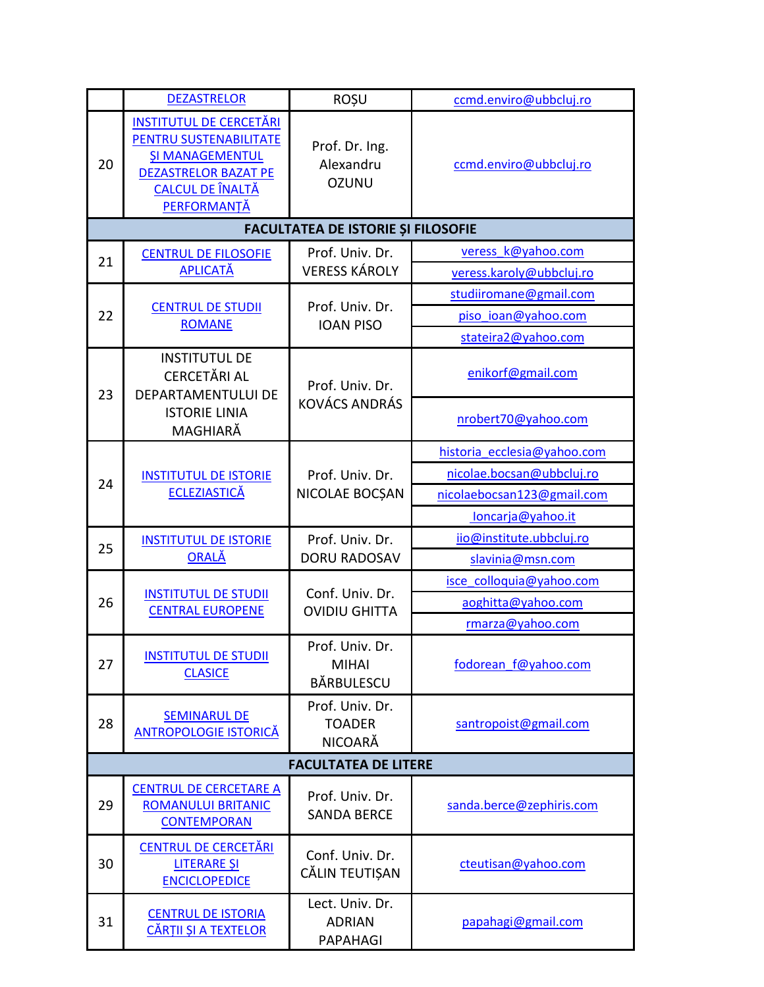|    | <b>DEZASTRELOR</b>                                                                                                                                   | <b>ROȘU</b>                                          | ccmd.enviro@ubbcluj.ro      |  |
|----|------------------------------------------------------------------------------------------------------------------------------------------------------|------------------------------------------------------|-----------------------------|--|
| 20 | <b>INSTITUTUL DE CERCETĂRI</b><br>PENTRU SUSTENABILITATE<br><b>ȘI MANAGEMENTUL</b><br><b>DEZASTRELOR BAZAT PE</b><br>CALCUL DE ÎNALTĂ<br>PERFORMANTĂ | Prof. Dr. Ing.<br>Alexandru<br><b>OZUNU</b>          | ccmd.enviro@ubbcluj.ro      |  |
|    | <b>FACULTATEA DE ISTORIE ȘI FILOSOFIE</b>                                                                                                            |                                                      |                             |  |
| 21 | <b>CENTRUL DE FILOSOFIE</b>                                                                                                                          | Prof. Univ. Dr.                                      | veress k@yahoo.com          |  |
|    | <b>APLICATĂ</b>                                                                                                                                      | <b>VERESS KÁROLY</b>                                 | veress.karoly@ubbcluj.ro    |  |
|    |                                                                                                                                                      | Prof. Univ. Dr.<br><b>IOAN PISO</b>                  | studiiromane@gmail.com      |  |
| 22 | <b>CENTRUL DE STUDII</b><br><b>ROMANE</b>                                                                                                            |                                                      | piso ioan@yahoo.com         |  |
|    |                                                                                                                                                      |                                                      | stateira2@yahoo.com         |  |
| 23 | <b>INSTITUTUL DE</b><br><b>CERCETĂRI AL</b><br>DEPARTAMENTULUI DE<br><b>ISTORIE LINIA</b><br>MAGHIARĂ                                                | Prof. Univ. Dr.<br><b>KOVÁCS ANDRÁS</b>              | enikorf@gmail.com           |  |
|    |                                                                                                                                                      |                                                      | nrobert70@yahoo.com         |  |
|    |                                                                                                                                                      |                                                      | historia_ecclesia@yahoo.com |  |
| 24 | <b>INSTITUTUL DE ISTORIE</b><br><b>ECLEZIASTICĂ</b>                                                                                                  | Prof. Univ. Dr.<br>NICOLAE BOCȘAN                    | nicolae.bocsan@ubbcluj.ro   |  |
|    |                                                                                                                                                      |                                                      | nicolaebocsan123@gmail.com  |  |
|    |                                                                                                                                                      |                                                      | loncarja@yahoo.it           |  |
| 25 | <b>INSTITUTUL DE ISTORIE</b><br><b>ORALĂ</b>                                                                                                         | Prof. Univ. Dr.                                      | ijo@institute.ubbcluj.ro    |  |
|    |                                                                                                                                                      | <b>DORU RADOSAV</b>                                  | slavinia@msn.com            |  |
|    | <b>INSTITUTUL DE STUDII</b><br><b>CENTRAL EUROPENE</b>                                                                                               | Conf. Univ. Dr.<br><b>OVIDIU GHITTA</b>              | isce colloquia@yahoo.com    |  |
| 26 |                                                                                                                                                      |                                                      | aoghitta@yahoo.com          |  |
|    |                                                                                                                                                      |                                                      | rmarza@yahoo.com            |  |
| 27 | <b>INSTITUTUL DE STUDII</b><br><b>CLASICE</b>                                                                                                        | Prof. Univ. Dr.<br><b>MIHAI</b><br><b>BĂRBULESCU</b> | fodorean f@yahoo.com        |  |
| 28 | <b>SEMINARUL DE</b><br><b>ANTROPOLOGIE ISTORICĂ</b>                                                                                                  | Prof. Univ. Dr.<br><b>TOADER</b><br>NICOARĂ          | santropoist@gmail.com       |  |
|    | <b>FACULTATEA DE LITERE</b>                                                                                                                          |                                                      |                             |  |
| 29 | <b>CENTRUL DE CERCETARE A</b><br><b>ROMANULUI BRITANIC</b><br><b>CONTEMPORAN</b>                                                                     | Prof. Univ. Dr.<br><b>SANDA BERCE</b>                | sanda.berce@zephiris.com    |  |
| 30 | <b>CENTRUL DE CERCETĂRI</b><br><b>LITERARE ȘI</b><br><b>ENCICLOPEDICE</b>                                                                            | Conf. Univ. Dr.<br>CĂLIN TEUTIȘAN                    | cteutisan@yahoo.com         |  |
| 31 | <b>CENTRUL DE ISTORIA</b><br>CĂRȚII ȘI A TEXTELOR                                                                                                    | Lect. Univ. Dr.<br><b>ADRIAN</b><br>PAPAHAGI         | papahagi@gmail.com          |  |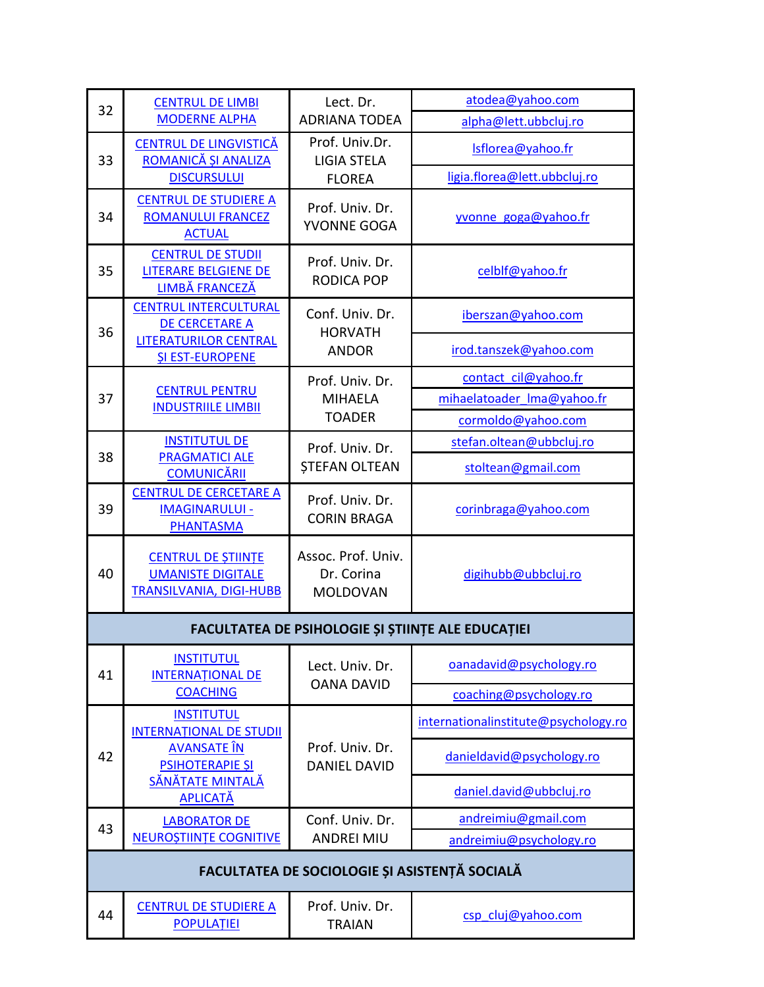| 32 | <b>CENTRUL DE LIMBI</b><br><b>MODERNE ALPHA</b>                                         | Lect. Dr.<br><b>ADRIANA TODEA</b>                   | atodea@yahoo.com                     |  |
|----|-----------------------------------------------------------------------------------------|-----------------------------------------------------|--------------------------------------|--|
|    |                                                                                         |                                                     | alpha@lett.ubbcluj.ro                |  |
| 33 | <b>CENTRUL DE LINGVISTICĂ</b><br>ROMANICĂ ȘI ANALIZA                                    | Prof. Univ.Dr.<br><b>LIGIA STELA</b>                | Isflorea@yahoo.fr                    |  |
|    | <b>DISCURSULUI</b>                                                                      | <b>FLOREA</b>                                       | ligia.florea@lett.ubbcluj.ro         |  |
| 34 | <b>CENTRUL DE STUDIERE A</b><br><b>ROMANULUI FRANCEZ</b><br><b>ACTUAL</b>               | Prof. Univ. Dr.<br>YVONNE GOGA                      | yvonne goga@yahoo.fr                 |  |
| 35 | <b>CENTRUL DE STUDII</b><br><b>LITERARE BELGIENE DE</b><br>LIMBĂ FRANCEZĂ               | Prof. Univ. Dr.<br><b>RODICA POP</b>                | celblf@yahoo.fr                      |  |
| 36 | <b>CENTRUL INTERCULTURAL</b><br><b>DE CERCETARE A</b>                                   | Conf. Univ. Dr.<br><b>HORVATH</b>                   | iberszan@yahoo.com                   |  |
|    | <b>LITERATURILOR CENTRAL</b><br><b>SI EST-EUROPENE</b>                                  | <b>ANDOR</b>                                        | irod.tanszek@yahoo.com               |  |
|    | <b>CENTRUL PENTRU</b>                                                                   | Prof. Univ. Dr.                                     | contact cil@yahoo.fr                 |  |
| 37 | <b>INDUSTRIILE LIMBII</b>                                                               | <b>MIHAELA</b>                                      | mihaelatoader Ima@yahoo.fr           |  |
|    |                                                                                         | <b>TOADER</b>                                       | cormoldo@yahoo.com                   |  |
| 38 | <b>INSTITUTUL DE</b>                                                                    | Prof. Univ. Dr.                                     | stefan.oltean@ubbcluj.ro             |  |
|    | <b>PRAGMATICI ALE</b><br><b>COMUNICĂRII</b>                                             | <b>ȘTEFAN OLTEAN</b>                                | stoltean@gmail.com                   |  |
| 39 | <b>CENTRUL DE CERCETARE A</b><br><b>IMAGINARULUI -</b><br>PHANTASMA                     | Prof. Univ. Dr.<br><b>CORIN BRAGA</b>               | corinbraga@yahoo.com                 |  |
| 40 | <b>CENTRUL DE STIINTE</b><br><b>UMANISTE DIGITALE</b><br><b>TRANSILVANIA, DIGI-HUBB</b> | Assoc. Prof. Univ.<br>Dr. Corina<br><b>MOLDOVAN</b> | digihubb@ubbcluj.ro                  |  |
|    |                                                                                         | FACULTATEA DE PSIHOLOGIE ȘI ȘTIINȚE ALE EDUCAȚIEI   |                                      |  |
| 41 | <b>INSTITUTUL</b><br><b>INTERNATIONAL DE</b>                                            | Lect. Univ. Dr.<br><b>OANA DAVID</b>                | oanadavid@psychology.ro              |  |
|    | <b>COACHING</b>                                                                         |                                                     | coaching@psychology.ro               |  |
|    | <b>INSTITUTUL</b><br><b>INTERNATIONAL DE STUDII</b>                                     |                                                     | internationalinstitute@psychology.ro |  |
| 42 | <b>AVANSATE</b> ÎN<br><b>PSIHOTERAPIE SI</b>                                            | Prof. Univ. Dr.<br><b>DANIEL DAVID</b>              | danieldavid@psychology.ro            |  |
|    | SĂNĂTATE MINTALĂ<br><b>APLICATĂ</b>                                                     |                                                     | daniel.david@ubbcluj.ro              |  |
| 43 | <b>LABORATOR DE</b>                                                                     | Conf. Univ. Dr.                                     | andreimiu@gmail.com                  |  |
|    | <b>NEUROȘTIINȚE COGNITIVE</b>                                                           | <b>ANDREI MIU</b>                                   | andreimiu@psychology.ro              |  |
|    | FACULTATEA DE SOCIOLOGIE ȘI ASISTENȚĂ SOCIALĂ                                           |                                                     |                                      |  |
| 44 | <b>CENTRUL DE STUDIERE A</b><br><b>POPULAȚIEI</b>                                       | Prof. Univ. Dr.<br><b>TRAIAN</b>                    | csp cluj@yahoo.com                   |  |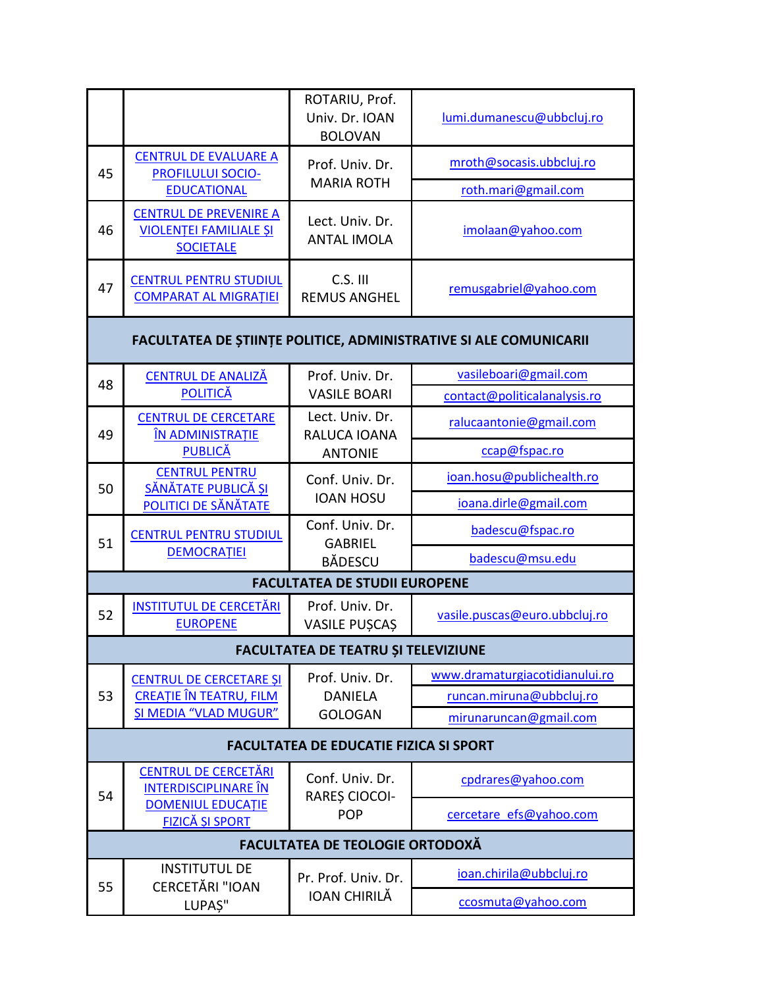|                                                                   |                                                                                    | ROTARIU, Prof.<br>Univ. Dr. IOAN<br><b>BOLOVAN</b>  | lumi.dumanescu@ubbcluj.ro      |  |
|-------------------------------------------------------------------|------------------------------------------------------------------------------------|-----------------------------------------------------|--------------------------------|--|
| 45                                                                | <b>CENTRUL DE EVALUARE A</b><br><b>PROFILULUI SOCIO-</b>                           | Prof. Univ. Dr.                                     | mroth@socasis.ubbcluj.ro       |  |
|                                                                   | <b>EDUCATIONAL</b>                                                                 | <b>MARIA ROTH</b>                                   | roth.mari@gmail.com            |  |
| 46                                                                | <b>CENTRUL DE PREVENIRE A</b><br><b>VIOLENȚEI FAMILIALE ȘI</b><br><b>SOCIETALE</b> | Lect. Univ. Dr.<br><b>ANTAL IMOLA</b>               | imolaan@yahoo.com              |  |
| 47                                                                | <b>CENTRUL PENTRU STUDIUL</b><br><b>COMPARAT AL MIGRATIEI</b>                      | C.S. III<br><b>REMUS ANGHEL</b>                     | remusgabriel@yahoo.com         |  |
| FACULTATEA DE ȘTIINȚE POLITICE, ADMINISTRATIVE SI ALE COMUNICARII |                                                                                    |                                                     |                                |  |
| 48                                                                | <b>CENTRUL DE ANALIZĂ</b>                                                          | Prof. Univ. Dr.                                     | vasileboari@gmail.com          |  |
|                                                                   | <b>POLITICĂ</b>                                                                    | <b>VASILE BOARI</b>                                 | contact@politicalanalysis.ro   |  |
| 49                                                                | <b>CENTRUL DE CERCETARE</b><br>ÎN ADMINISTRAȚIE                                    | Lect. Univ. Dr.<br>RALUCA IOANA<br><b>ANTONIE</b>   | ralucaantonie@gmail.com        |  |
|                                                                   | <b>PUBLICĂ</b>                                                                     |                                                     | ccap@fspac.ro                  |  |
|                                                                   | <b>CENTRUL PENTRU</b><br>SĂNĂTATE PUBLICĂ ȘI<br>POLITICI DE SĂNĂTATE               | Conf. Univ. Dr.<br><b>IOAN HOSU</b>                 | ioan.hosu@publichealth.ro      |  |
| 50                                                                |                                                                                    |                                                     | ioana.dirle@gmail.com          |  |
| 51                                                                | <b>CENTRUL PENTRU STUDIUL</b><br><b>DEMOCRAȚIEI</b>                                | Conf. Univ. Dr.<br><b>GABRIEL</b><br><b>BĂDESCU</b> | badescu@fspac.ro               |  |
|                                                                   |                                                                                    |                                                     | badescu@msu.edu                |  |
|                                                                   |                                                                                    | <b>FACULTATEA DE STUDII EUROPENE</b>                |                                |  |
| 52                                                                | <b>INSTITUTUL DE CERCETĂRI</b><br><b>EUROPENE</b>                                  | Prof. Univ. Dr.<br><b>VASILE PUȘCAȘ</b>             | vasile.puscas@euro.ubbcluj.ro  |  |
|                                                                   |                                                                                    | <b>FACULTATEA DE TEATRU ȘI TELEVIZIUNE</b>          |                                |  |
|                                                                   | <b>CENTRUL DE CERCETARE ȘI</b>                                                     | Prof. Univ. Dr.<br><b>DANIELA</b><br><b>GOLOGAN</b> | www.dramaturgiacotidianului.ro |  |
| 53                                                                | CREAȚIE ÎN TEATRU, FILM<br><b>ȘI MEDIA "VLAD MUGUR"</b>                            |                                                     | runcan.miruna@ubbcluj.ro       |  |
|                                                                   |                                                                                    |                                                     | mirunaruncan@gmail.com         |  |
| <b>FACULTATEA DE EDUCATIE FIZICA SI SPORT</b>                     |                                                                                    |                                                     |                                |  |
| 54                                                                | <b>CENTRUL DE CERCETĂRI</b><br><b>INTERDISCIPLINARE ÎN</b>                         | Conf. Univ. Dr.<br>RAREȘ CIOCOI-                    | cpdrares@yahoo.com             |  |
|                                                                   | <b>DOMENIUL EDUCAȚIE</b><br><b>FIZICĂ ȘI SPORT</b>                                 | <b>POP</b>                                          | cercetare efs@yahoo.com        |  |
|                                                                   | FACULTATEA DE TEOLOGIE ORTODOXĂ                                                    |                                                     |                                |  |
|                                                                   | <b>INSTITUTUL DE</b><br><b>CERCETĂRI "IOAN</b><br>LUPAȘ"                           | Pr. Prof. Univ. Dr.<br><b>IOAN CHIRILĂ</b>          | ioan.chirila@ubbcluj.ro        |  |
| 55                                                                |                                                                                    |                                                     | ccosmuta@yahoo.com             |  |